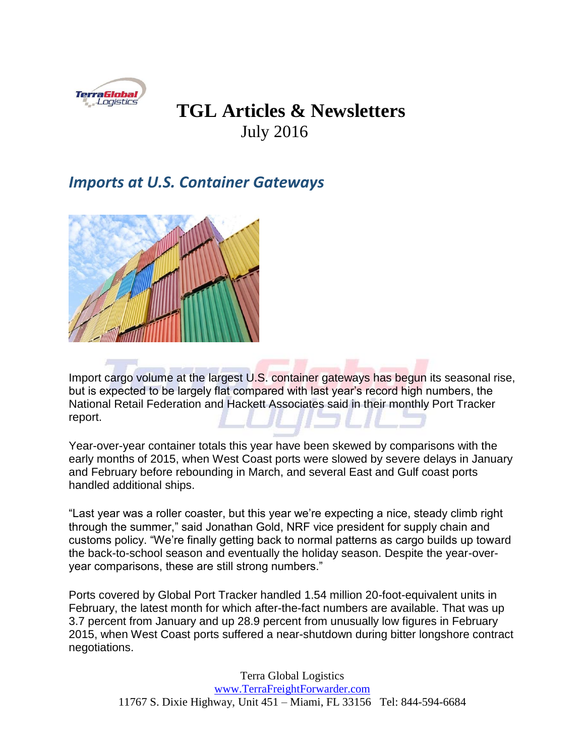

## **TGL Articles & Newsletters** July 2016

## *Imports at U.S. Container Gateways*



Import cargo volume at the largest U.S. container gateways has begun its seasonal rise, but is expected to be largely flat compared with last year's record high numbers, the National Retail Federation and Hackett Associates said in their monthly Port Tracker report.

Year-over-year container totals this year have been skewed by comparisons with the early months of 2015, when West Coast ports were slowed by severe delays in January and February before rebounding in March, and several East and Gulf coast ports handled additional ships.

"Last year was a roller coaster, but this year we're expecting a nice, steady climb right through the summer," said Jonathan Gold, NRF vice president for supply chain and customs policy. "We're finally getting back to normal patterns as cargo builds up toward the back-to-school season and eventually the holiday season. Despite the year-overyear comparisons, these are still strong numbers."

Ports covered by Global Port Tracker handled 1.54 million 20-foot-equivalent units in February, the latest month for which after-the-fact numbers are available. That was up 3.7 percent from January and up 28.9 percent from unusually low figures in February 2015, when West Coast ports suffered a near-shutdown during bitter longshore contract negotiations.

> Terra Global Logistics [www.TerraFreightForwarder.com](http://www.terrafreightforwarder.com/) 11767 S. Dixie Highway, Unit 451 – Miami, FL 33156 Tel: 844-594-6684